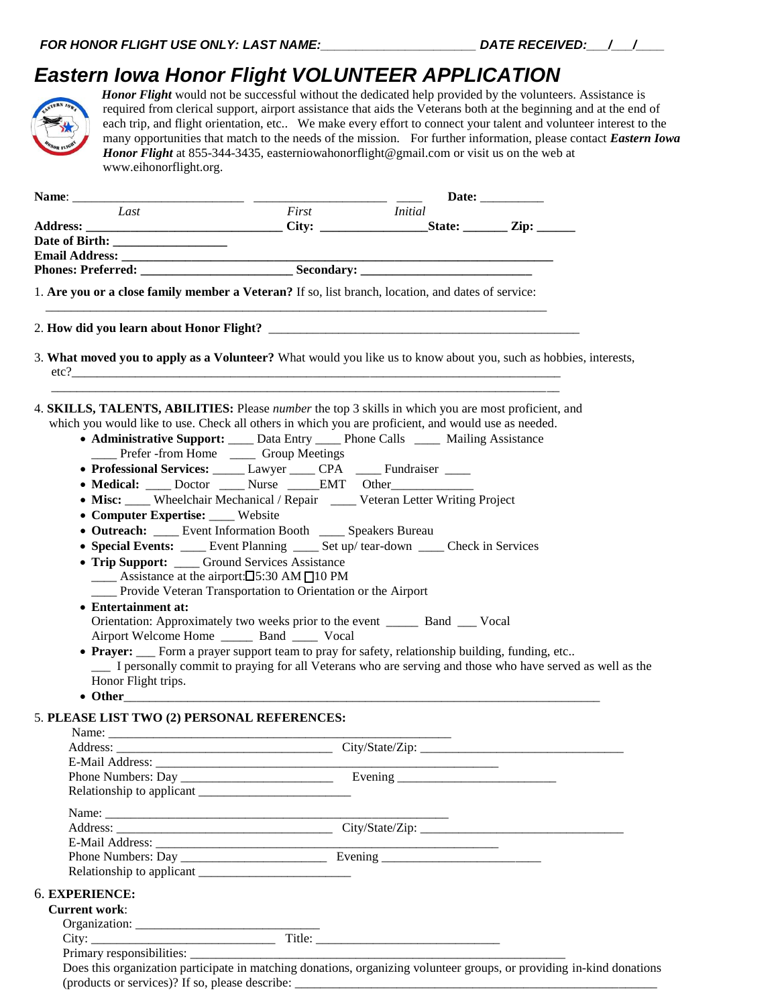## *Eastern Iowa Honor Flight VOLUNTEER APPLICATION*



*Honor Flight* would not be successful without the dedicated help provided by the volunteers. Assistance is required from clerical support, airport assistance that aids the Veterans both at the beginning and at the end of each trip, and flight orientation, etc.. We make every effort to connect your talent and volunteer interest to the many opportunities that match to the needs of the mission. For further information, please contact *Eastern Iowa Honor Flight* at 855-344-3435, easterniowahonorflight@gmail.com or visit us on the web at www.eihonorflight.org.

|                                                                                                                   | Date: |                                                 |  |
|-------------------------------------------------------------------------------------------------------------------|-------|-------------------------------------------------|--|
| Last                                                                                                              |       | First Initial                                   |  |
|                                                                                                                   |       |                                                 |  |
|                                                                                                                   |       |                                                 |  |
|                                                                                                                   |       |                                                 |  |
|                                                                                                                   |       |                                                 |  |
| 1. Are you or a close family member a Veteran? If so, list branch, location, and dates of service:                |       |                                                 |  |
|                                                                                                                   |       |                                                 |  |
| 3. What moved you to apply as a Volunteer? What would you like us to know about you, such as hobbies, interests,  |       |                                                 |  |
| 4. <b>SKILLS, TALENTS, ABILITIES:</b> Please <i>number</i> the top 3 skills in which you are most proficient, and |       |                                                 |  |
| which you would like to use. Check all others in which you are proficient, and would use as needed.               |       |                                                 |  |
| • Administrative Support: ____ Data Entry ____ Phone Calls ____ Mailing Assistance                                |       |                                                 |  |
| ____ Prefer -from Home ____ Group Meetings                                                                        |       |                                                 |  |
| • Professional Services: _____ Lawyer ____ CPA ____ Fundraiser ____                                               |       |                                                 |  |
| • Medical: ____ Doctor ____ Nurse _____EMT Other__________                                                        |       |                                                 |  |
| • Misc: ____ Wheelchair Mechanical / Repair ____ Veteran Letter Writing Project                                   |       |                                                 |  |
| • Computer Expertise: ____ Website                                                                                |       |                                                 |  |
| • Outreach: ____ Event Information Booth ____ Speakers Bureau                                                     |       |                                                 |  |
| • Special Events: ____ Event Planning ____ Set up/tear-down ____ Check in Services                                |       |                                                 |  |
| • Trip Support: ____ Ground Services Assistance                                                                   |       |                                                 |  |
| $\_\_\_\$ Assistance at the airport: $\Box$ 5:30 AM $\Box$ 10 PM                                                  |       |                                                 |  |
| ____ Provide Veteran Transportation to Orientation or the Airport                                                 |       |                                                 |  |
| • Entertainment at:                                                                                               |       |                                                 |  |
| Orientation: Approximately two weeks prior to the event _________ Band _____ Vocal                                |       |                                                 |  |
| Airport Welcome Home ________ Band ______ Vocal                                                                   |       |                                                 |  |
| • Prayer: ___ Form a prayer support team to pray for safety, relationship building, funding, etc                  |       |                                                 |  |
| I personally commit to praying for all Veterans who are serving and those who have served as well as the          |       |                                                 |  |
| Honor Flight trips.                                                                                               |       |                                                 |  |
|                                                                                                                   |       |                                                 |  |
| 5. PLEASE LIST TWO (2) PERSONAL REFERENCES:                                                                       |       |                                                 |  |
|                                                                                                                   |       |                                                 |  |
|                                                                                                                   |       |                                                 |  |
|                                                                                                                   |       |                                                 |  |
|                                                                                                                   |       |                                                 |  |
|                                                                                                                   |       |                                                 |  |
|                                                                                                                   |       |                                                 |  |
|                                                                                                                   |       |                                                 |  |
|                                                                                                                   |       | the contract of the contract of the contract of |  |
|                                                                                                                   |       |                                                 |  |
|                                                                                                                   |       |                                                 |  |
| 6. EXPERIENCE:                                                                                                    |       |                                                 |  |
| <b>Current work:</b>                                                                                              |       |                                                 |  |
|                                                                                                                   |       |                                                 |  |
|                                                                                                                   |       |                                                 |  |
|                                                                                                                   |       |                                                 |  |

Does this organization participate in matching donations, organizing volunteer groups, or providing in-kind donations (products or services)? If so, please describe: